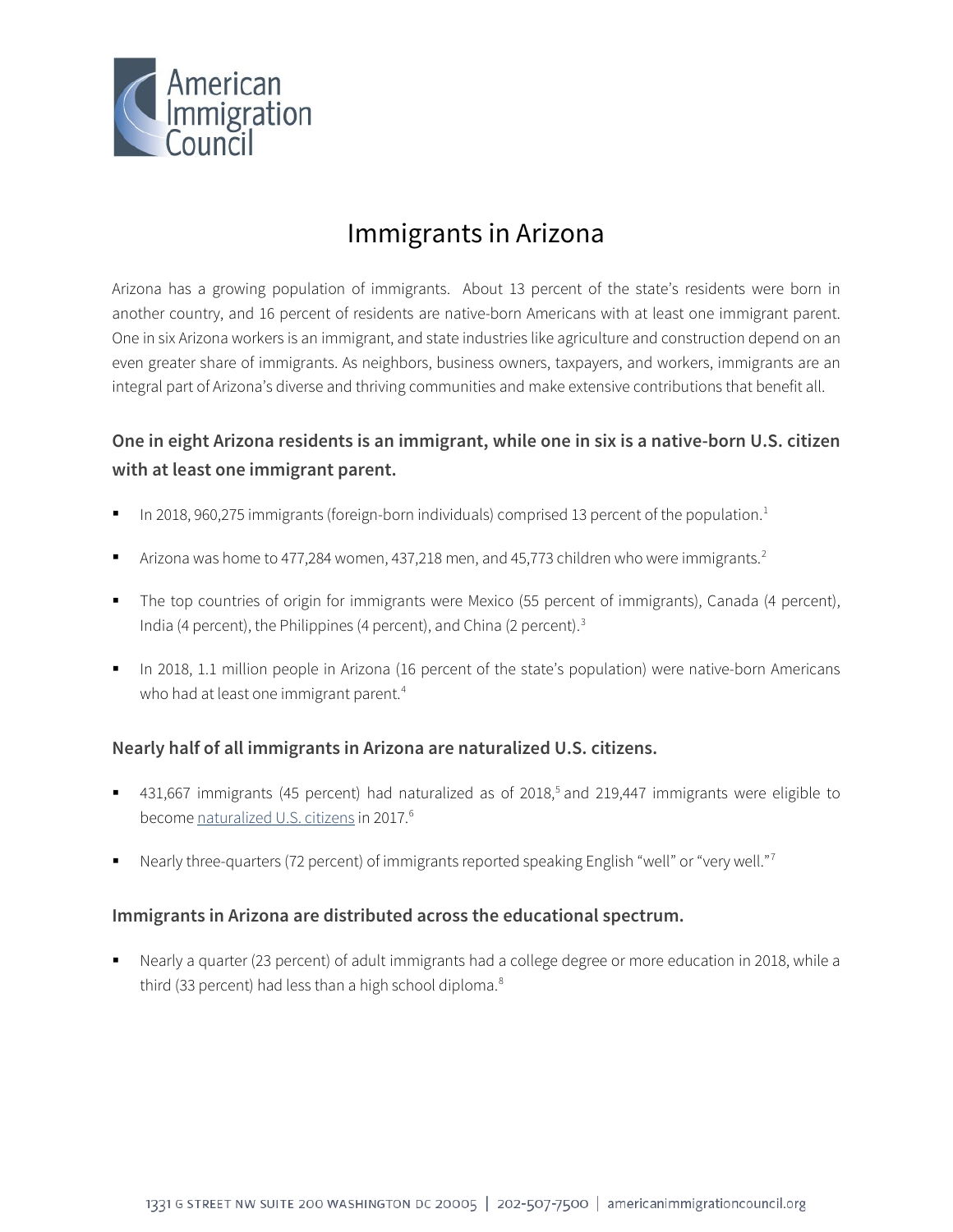

# Immigrants in Arizona

Arizona has a growing population of immigrants. About 13 percent of the state's residents were born in another country, and 16 percent of residents are native-born Americans with at least one immigrant parent. One in six Arizona workers is an immigrant, and state industries like agriculture and construction depend on an even greater share of immigrants. As neighbors, business owners, taxpayers, and workers, immigrants are an integral part of Arizona's diverse and thriving communities and make extensive contributions that benefit all.

## **One in eight Arizona residents is an immigrant, while one in six is a native-born U.S. citizen with at least one immigrant parent.**

- In 20[1](#page-4-0)8, 960,275 immigrants (foreign-born individuals) comprised 13 percent of the population.<sup>1</sup>
- Arizona was home to 477,[2](#page-4-1)84 women, 437,218 men, and 45,773 children who were immigrants.<sup>2</sup>
- The top countries of origin for immigrants were Mexico (55 percent of immigrants), Canada (4 percent), India (4 percent), the Philippines (4 percent), and China (2 percent).<sup>[3](#page-4-2)</sup>
- In 2018, 1.1 million people in Arizona (16 percent of the state's population) were native-born Americans who had at least one immigrant parent.<sup>[4](#page-4-3)</sup>

### **Nearly half of all immigrants in Arizona are naturalized U.S. citizens.**

- 431,667 immigrants (4[5](#page-4-4) percent) had naturalized as of 2018,<sup>5</sup> and 219,447 immigrants were eligible to become [naturalized U.S. citizens](http://data.cmsny.org/state.html) in 2017.<sup>[6](#page-4-5)</sup>
- Nearly three-quarters (72 percent) of immigrants reported speaking English "well" or "very well."[7](#page-4-6)

### **Immigrants in Arizona are distributed across the educational spectrum.**

 Nearly a quarter (23 percent) of adult immigrants had a college degree or more education in 2018, while a third (33 percent) had less than a high school diploma.<sup>[8](#page-4-7)</sup>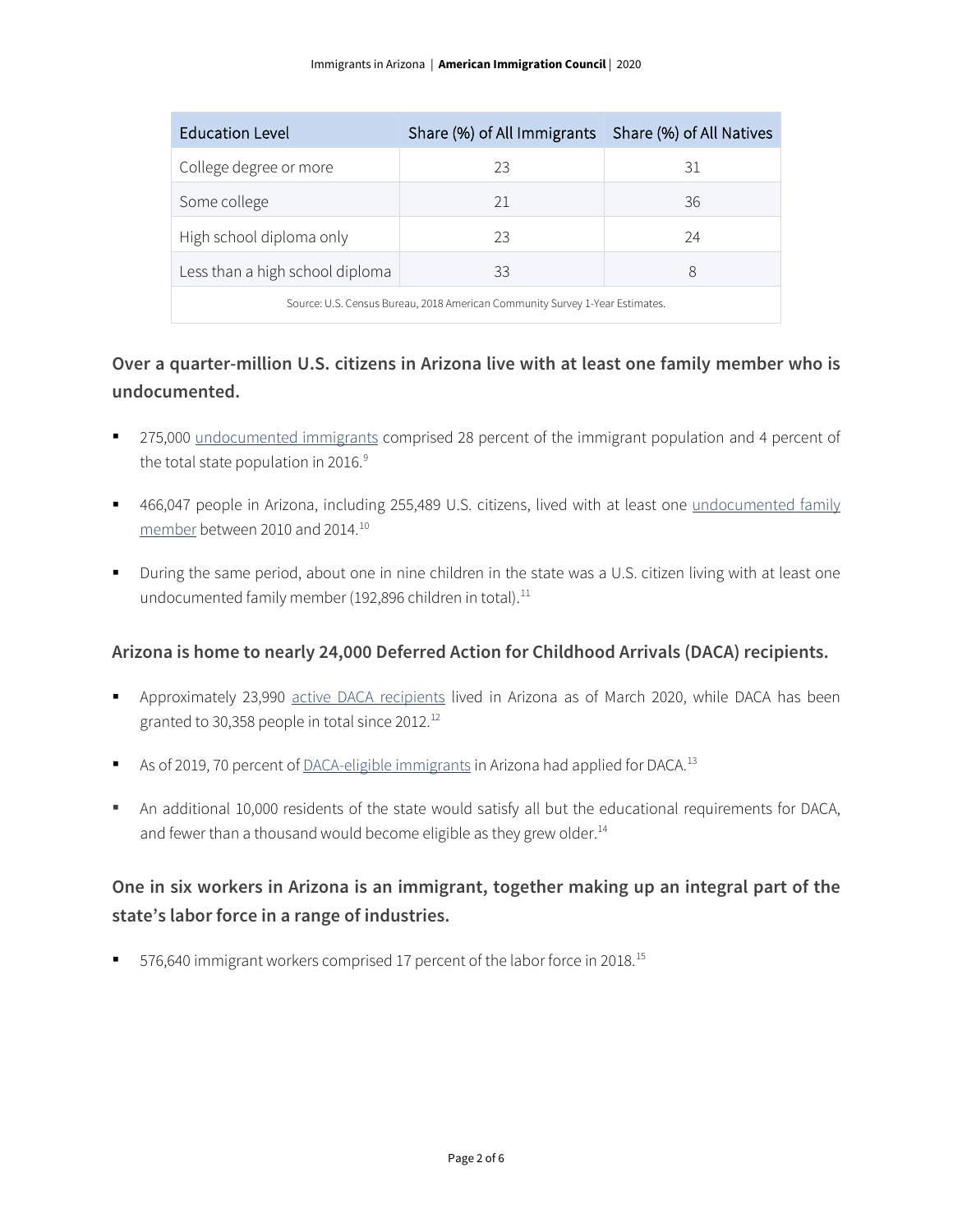| <b>Education Level</b>                                                       | Share (%) of All Immigrants   Share (%) of All Natives |    |  |
|------------------------------------------------------------------------------|--------------------------------------------------------|----|--|
| College degree or more                                                       | 23                                                     | 31 |  |
| Some college                                                                 | 21                                                     | 36 |  |
| High school diploma only                                                     | 23                                                     | 24 |  |
| Less than a high school diploma                                              | 33                                                     | 8  |  |
| Source: U.S. Census Bureau, 2018 American Community Survey 1-Year Estimates. |                                                        |    |  |

### **Over a quarter-million U.S. citizens in Arizona live with at least one family member who is undocumented.**

- 275,000 [undocumented immigrants](http://www.pewhispanic.org/interactives/unauthorized-immigrants/) comprised 28 percent of the immigrant population and 4 percent of the total state population in 2016.<sup>[9](#page-4-8)</sup>
- <sup>4</sup> 466,047 people in Arizona, including 255,489 U.S. citizens, lived with at least one undocumented family [member](https://www.americanprogress.org/issues/immigration/news/2017/03/16/427868/state-state-estimates-family-members-unauthorized-immigrants/) between 2010 and 2014.[10](#page-4-9)
- During the same period, about one in nine children in the state was a U.S. citizen living with at least one undocumented family member (192,896 children in total).<sup>[11](#page-4-10)</sup>

### **Arizona is home to nearly 24,000 Deferred Action for Childhood Arrivals (DACA) recipients.**

- Approximately 23,990 [active DACA recipients](https://www.uscis.gov/sites/default/files/document/data/Approximate%20Active%20DACA%20Receipts%20-%20March%2031%2C%202020.pdf) lived in Arizona as of March 2020, while DACA has been granted to 30,358 people in total since 2012.[12](#page-4-11)
- As of 2019, 70 percent o[f DACA-eligible immigrants](http://www.migrationpolicy.org/programs/data-hub/deferred-action-childhood-arrivals-daca-profiles) in Arizona had applied for DACA.<sup>[13](#page-4-12)</sup>
- An additional 10,000 residents of the state would satisfy all but the educational requirements for DACA, and fewer than a thousand would become eligible as they grew older. $14$

### **One in six workers in Arizona is an immigrant, together making up an integral part of the state's labor force in a range of industries.**

■ 576,640 immigrant workers comprised 17 percent of the labor force in 2018.<sup>[15](#page-5-1)</sup>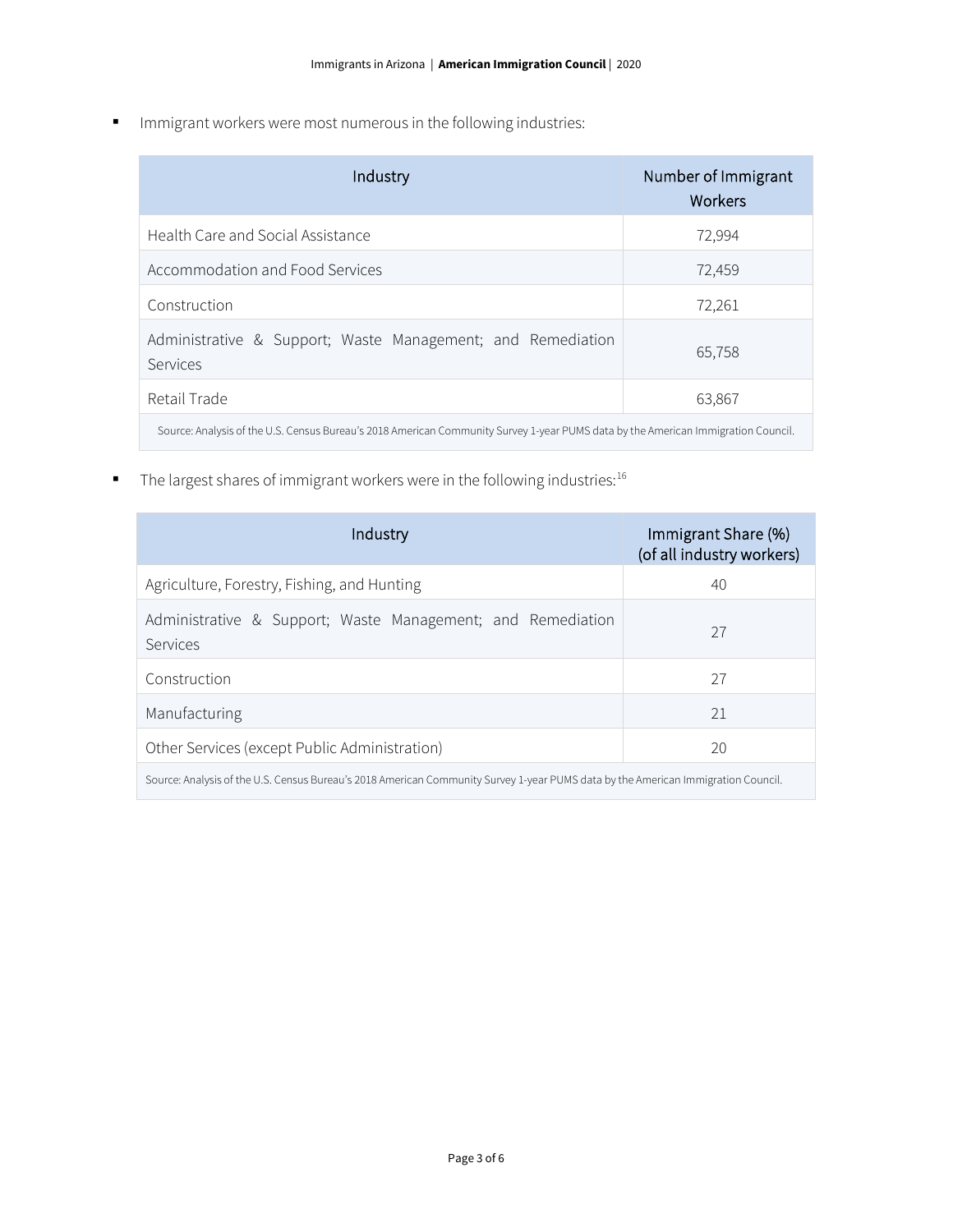Immigrant workers were most numerous in the following industries:

| Industry                                                                                                                          | Number of Immigrant<br>Workers |
|-----------------------------------------------------------------------------------------------------------------------------------|--------------------------------|
| Health Care and Social Assistance                                                                                                 | 72,994                         |
| Accommodation and Food Services                                                                                                   | 72,459                         |
| Construction                                                                                                                      | 72,261                         |
| Administrative & Support; Waste Management; and Remediation<br>Services                                                           | 65,758                         |
| Retail Trade                                                                                                                      | 63,867                         |
| Source: Analysis of the U.S. Census Bureau's 2018 American Community Survey 1-year PUMS data by the American Immigration Council. |                                |

The largest shares of immigrant workers were in the following industries:<sup>16</sup>

| Industry                                                                                                                          | Immigrant Share (%)<br>(of all industry workers) |  |
|-----------------------------------------------------------------------------------------------------------------------------------|--------------------------------------------------|--|
| Agriculture, Forestry, Fishing, and Hunting                                                                                       | 40                                               |  |
| Administrative & Support; Waste Management; and Remediation<br>Services                                                           | 27                                               |  |
| Construction                                                                                                                      | 27                                               |  |
| Manufacturing                                                                                                                     | 21                                               |  |
| Other Services (except Public Administration)                                                                                     | 20                                               |  |
| Source: Analysis of the U.S. Census Bureau's 2018 American Community Survey 1-year PUMS data by the American Immigration Council. |                                                  |  |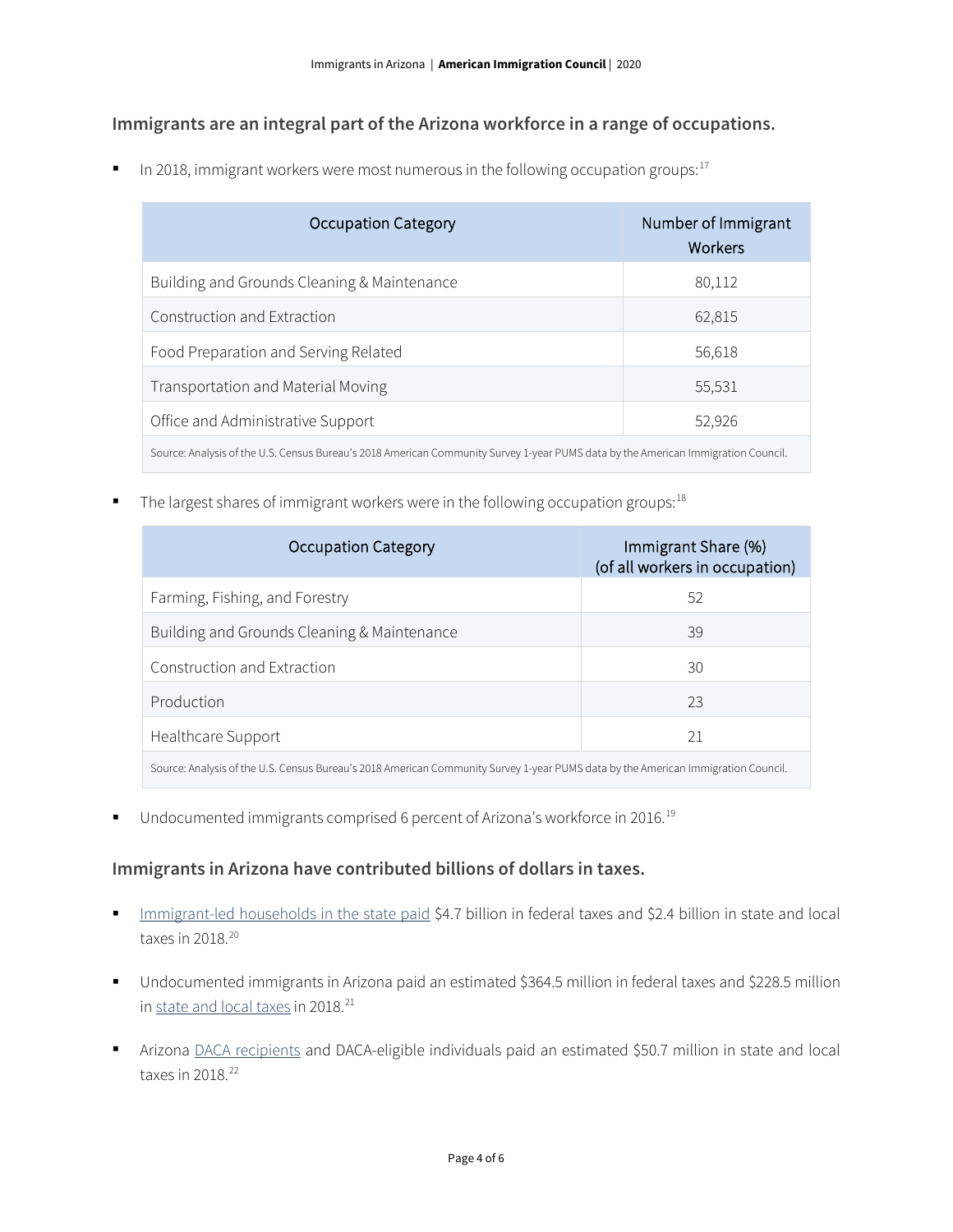### **Immigrants are an integral part of the Arizona workforce in a range of occupations.**

In 2018, immigrant workers were most numerous in the following occupation groups: $17$ 

| <b>Occupation Category</b>                                                                                                        | Number of Immigrant<br>Workers |  |
|-----------------------------------------------------------------------------------------------------------------------------------|--------------------------------|--|
| Building and Grounds Cleaning & Maintenance                                                                                       | 80,112                         |  |
| Construction and Extraction                                                                                                       | 62,815                         |  |
| Food Preparation and Serving Related                                                                                              | 56,618                         |  |
| Transportation and Material Moving                                                                                                | 55,531                         |  |
| Office and Administrative Support                                                                                                 | 52,926                         |  |
| Source: Analysis of the U.S. Census Bureau's 2018 American Community Survey 1-year PUMS data by the American Immigration Council. |                                |  |

The largest shares of immigrant workers were in the following occupation groups:<sup>[18](#page-5-4)</sup>

| <b>Occupation Category</b>                                                                                                        | Immigrant Share (%)<br>(of all workers in occupation) |  |
|-----------------------------------------------------------------------------------------------------------------------------------|-------------------------------------------------------|--|
| Farming, Fishing, and Forestry                                                                                                    | 52                                                    |  |
| Building and Grounds Cleaning & Maintenance                                                                                       | 39                                                    |  |
| Construction and Extraction                                                                                                       | 30                                                    |  |
| Production                                                                                                                        | 23                                                    |  |
| Healthcare Support                                                                                                                | 21                                                    |  |
| Source: Analysis of the U.S. Census Bureau's 2018 American Community Survey 1-year PUMS data by the American Immigration Council. |                                                       |  |

■ Undocumented immigrants comprised 6 percent of Arizona's workforce in 2016.<sup>[19](#page-5-5)</sup>

### **Immigrants in Arizona have contributed billions of dollars in taxes.**

- [Immigrant-led households in the state paid](https://www.newamericaneconomy.org/locations/) \$4.7 billion in federal taxes and \$2.4 billion in state and local taxes in 2018. [20](#page-5-6)
- Undocumented immigrants in Arizona paid an estimated \$364.5 million in federal taxes and \$228.5 million in <u>[state and local taxes](https://www.newamericaneconomy.org/locations/)</u> in 2018.<sup>[21](#page-5-7)</sup>
- Arizona [DACA recipients](https://itep.org/state-local-tax-contributions-of-young-undocumented-immigrants/) and DACA-eligible individuals paid an estimated \$50.7 million in state and local taxes in  $2018.<sup>22</sup>$  $2018.<sup>22</sup>$  $2018.<sup>22</sup>$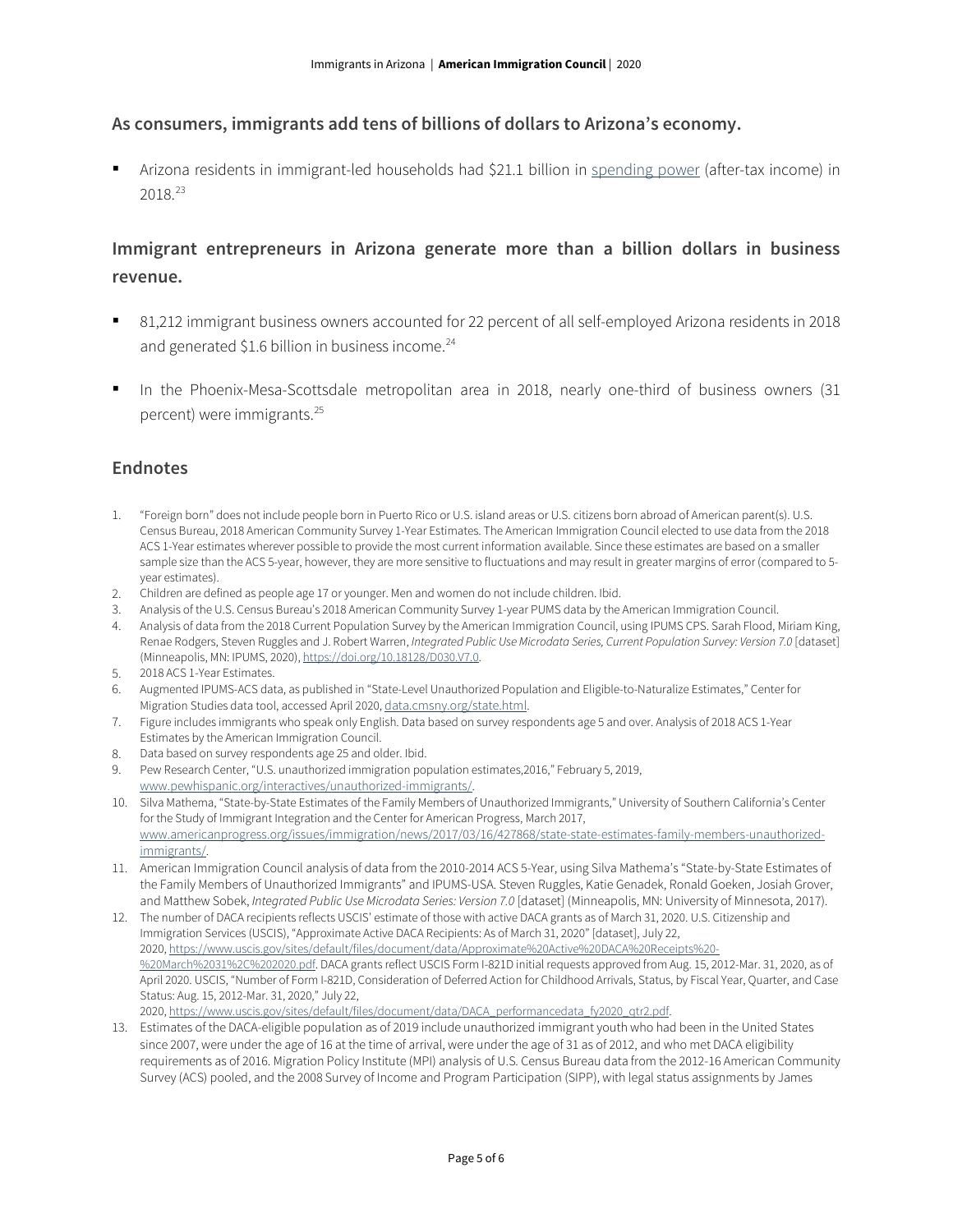#### **As consumers, immigrants add tens of billions of dollars to Arizona's economy.**

 Arizona residents in immigrant-led households had \$21.1 billion in [spending power](https://www.newamericaneconomy.org/locations/) (after-tax income) in 2018. [23](#page-5-9)

### **Immigrant entrepreneurs in Arizona generate more than a billion dollars in business revenue.**

- 81,212 immigrant business owners accounted for 22 percent of all self-employed Arizona residents in 2018 and generated \$1.6 billion in business income. $^{24}$  $^{24}$  $^{24}$
- In the Phoenix-Mesa-Scottsdale metropolitan area in 2018, nearly one-third of business owners (31 percent) were immigrants. [25](#page-5-11)

#### **Endnotes**

- <span id="page-4-0"></span>1. "Foreign born" does not include people born in Puerto Rico or U.S. island areas or U.S. citizens born abroad of American parent(s). U.S. Census Bureau, 2018 American Community Survey 1-Year Estimates. The American Immigration Council elected to use data from the 2018 ACS 1-Year estimates wherever possible to provide the most current information available. Since these estimates are based on a smaller sample size than the ACS 5-year, however, they are more sensitive to fluctuations and may result in greater margins of error (compared to 5 year estimates).
- <span id="page-4-1"></span>2. Children are defined as people age 17 or younger. Men and women do not include children. Ibid.
- <span id="page-4-2"></span>3. Analysis of the U.S. Census Bureau's 2018 American Community Survey 1-year PUMS data by the American Immigration Council.
- <span id="page-4-3"></span>4. Analysis of data from the 2018 Current Population Survey by the American Immigration Council, using IPUMS CPS. Sarah Flood, Miriam King, Renae Rodgers, Steven Ruggles and J. Robert Warren, *Integrated Public Use Microdata Series, Current Population Survey: Version 7.0* [dataset] (Minneapolis, MN: IPUMS, 2020), [https://doi.org/10.18128/D030.V7.0.](https://doi.org/10.18128/D030.V7.0)
- <span id="page-4-4"></span>5. 2018 ACS 1-Year Estimates.
- <span id="page-4-5"></span>6. Augmented IPUMS-ACS data, as published in "State-Level Unauthorized Population and Eligible-to-Naturalize Estimates," Center for Migration Studies data tool, accessed April 2020[, data.cmsny.org/state.html.](http://data.cmsny.org/state.html)
- <span id="page-4-6"></span>7. Figure includes immigrants who speak only English. Data based on survey respondents age 5 and over. Analysis of 2018 ACS 1-Year Estimates by the American Immigration Council.
- <span id="page-4-7"></span>8. Data based on survey respondents age 25 and older. Ibid.
- <span id="page-4-8"></span>9. Pew Research Center, "U.S. unauthorized immigration population estimates,2016," February 5, 2019, [www.pewhispanic.org/interactives/unauthorized-immigrants/.](http://www.pewhispanic.org/interactives/unauthorized-immigrants/)
- <span id="page-4-9"></span>10. Silva Mathema, "State-by-State Estimates of the Family Members of Unauthorized Immigrants," University of Southern California's Center for the Study of Immigrant Integration and the Center for American Progress, March 2017, [www.americanprogress.org/issues/immigration/news/2017/03/16/427868/state-state-estimates-family-members-unauthorized](https://www.americanprogress.org/issues/immigration/news/2017/03/16/427868/state-state-estimates-family-members-unauthorized-immigrants/)[immigrants/.](https://www.americanprogress.org/issues/immigration/news/2017/03/16/427868/state-state-estimates-family-members-unauthorized-immigrants/)
- <span id="page-4-10"></span>11. American Immigration Council analysis of data from the 2010-2014 ACS 5-Year, using Silva Mathema's "State-by-State Estimates of the Family Members of Unauthorized Immigrants" and IPUMS-USA. Steven Ruggles, Katie Genadek, Ronald Goeken, Josiah Grover, and Matthew Sobek, *Integrated Public Use Microdata Series: Version 7.0* [dataset] (Minneapolis, MN: University of Minnesota, 2017).
- <span id="page-4-11"></span>12. The number of DACA recipients reflects USCIS' estimate of those with active DACA grants as of March 31, 2020. U.S. Citizenship and Immigration Services (USCIS), "Approximate Active DACA Recipients: As of March 31, 2020" [dataset], July 22, 2020, [https://www.uscis.gov/sites/default/files/document/data/Approximate%20Active%20DACA%20Receipts%20-](https://www.uscis.gov/sites/default/files/document/data/Approximate%20Active%20DACA%20Receipts%20-%20March%2031%2C%202020.pdf) [%20March%2031%2C%202020.pdf.](https://www.uscis.gov/sites/default/files/document/data/Approximate%20Active%20DACA%20Receipts%20-%20March%2031%2C%202020.pdf) DACA grants reflect USCIS Form I-821D initial requests approved from Aug. 15, 2012-Mar. 31, 2020, as of April 2020. USCIS, "Number of Form I-821D, Consideration of Deferred Action for Childhood Arrivals, Status, by Fiscal Year, Quarter, and Case Status: Aug. 15, 2012-Mar. 31, 2020," July 22, 2020, [https://www.uscis.gov/sites/default/files/document/data/DACA\\_performancedata\\_fy2020\\_qtr2.pdf.](https://www.uscis.gov/sites/default/files/document/data/DACA_performancedata_fy2020_qtr2.pdf)
- <span id="page-4-12"></span>13. Estimates of the DACA-eligible population as of 2019 include unauthorized immigrant youth who had been in the United States since 2007, were under the age of 16 at the time of arrival, were under the age of 31 as of 2012, and who met DACA eligibility requirements as of 2016. Migration Policy Institute (MPI) analysis of U.S. Census Bureau data from the 2012-16 American Community Survey (ACS) pooled, and the 2008 Survey of Income and Program Participation (SIPP), with legal status assignments by James